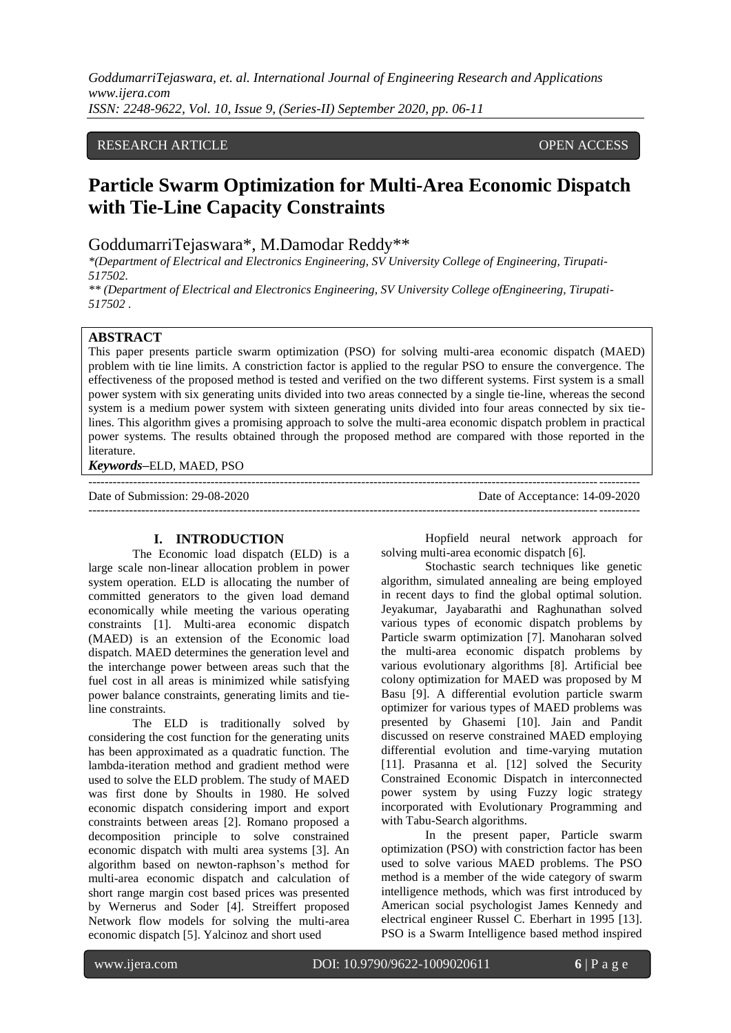## RESEARCH ARTICLE **CONSERVERS** OPEN ACCESS

# **Particle Swarm Optimization for Multi-Area Economic Dispatch with Tie-Line Capacity Constraints**

GoddumarriTejaswara\*, M.Damodar Reddy\*\*

*\*(Department of Electrical and Electronics Engineering, SV University College of Engineering, Tirupati-517502.*

*\*\* (Department of Electrical and Electronics Engineering, SV University College ofEngineering, Tirupati-517502 .*

## **ABSTRACT**

This paper presents particle swarm optimization (PSO) for solving multi-area economic dispatch (MAED) problem with tie line limits. A constriction factor is applied to the regular PSO to ensure the convergence. The effectiveness of the proposed method is tested and verified on the two different systems. First system is a small power system with six generating units divided into two areas connected by a single tie-line, whereas the second system is a medium power system with sixteen generating units divided into four areas connected by six tielines. This algorithm gives a promising approach to solve the multi-area economic dispatch problem in practical power systems. The results obtained through the proposed method are compared with those reported in the literature.

---------------------------------------------------------------------------------------------------------------------------------------

*Keywords***–**ELD, MAED, PSO

Date of Submission: 29-08-2020 Date of Acceptance: 14-09-2020 ---------------------------------------------------------------------------------------------------------------------------------------

## **I. INTRODUCTION**

The Economic load dispatch (ELD) is a large scale non-linear allocation problem in power system operation. ELD is allocating the number of committed generators to the given load demand economically while meeting the various operating constraints [1]. Multi-area economic dispatch (MAED) is an extension of the Economic load dispatch. MAED determines the generation level and the interchange power between areas such that the fuel cost in all areas is minimized while satisfying power balance constraints, generating limits and tieline constraints.

The ELD is traditionally solved by considering the cost function for the generating units has been approximated as a quadratic function. The lambda-iteration method and gradient method were used to solve the ELD problem. The study of MAED was first done by Shoults in 1980. He solved economic dispatch considering import and export constraints between areas [2]. Romano proposed a decomposition principle to solve constrained economic dispatch with multi area systems [3]. An algorithm based on newton-raphson's method for multi-area economic dispatch and calculation of short range margin cost based prices was presented by Wernerus and Soder [4]. Streiffert proposed Network flow models for solving the multi-area economic dispatch [5]. Yalcinoz and short used

Hopfield neural network approach for solving multi-area economic dispatch [6].

Stochastic search techniques like genetic algorithm, simulated annealing are being employed in recent days to find the global optimal solution. Jeyakumar, Jayabarathi and Raghunathan solved various types of economic dispatch problems by Particle swarm optimization [7]. Manoharan solved the multi-area economic dispatch problems by various evolutionary algorithms [8]. Artificial bee colony optimization for MAED was proposed by M Basu [9]. A differential evolution particle swarm optimizer for various types of MAED problems was presented by Ghasemi [10]. Jain and Pandit discussed on reserve constrained MAED employing differential evolution and time-varying mutation [11]. Prasanna et al. [12] solved the Security Constrained Economic Dispatch in interconnected power system by using Fuzzy logic strategy incorporated with Evolutionary Programming and with Tabu-Search algorithms.

In the present paper, Particle swarm optimization (PSO) with constriction factor has been used to solve various MAED problems. The PSO method is a member of the wide category of swarm intelligence methods, which was first introduced by American social psychologist James Kennedy and electrical engineer Russel C. Eberhart in 1995 [13]. PSO is a Swarm Intelligence based method inspired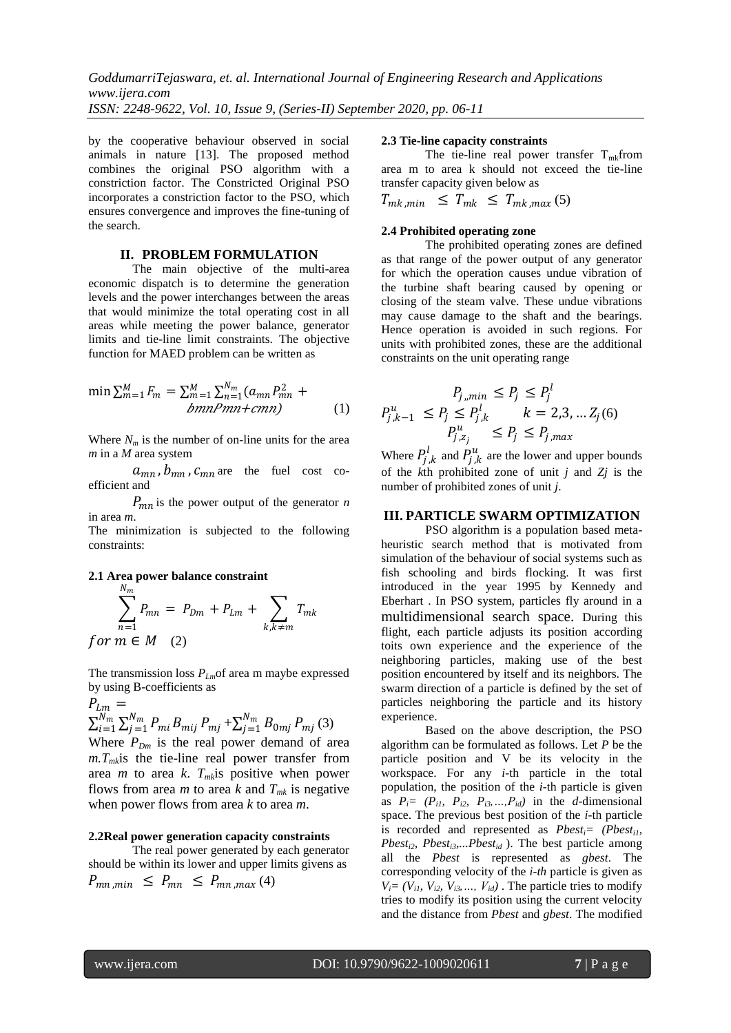by the cooperative behaviour observed in social animals in nature [13]. The proposed method combines the original PSO algorithm with a constriction factor. The Constricted Original PSO incorporates a constriction factor to the PSO, which ensures convergence and improves the fine-tuning of the search.

#### **II. PROBLEM FORMULATION**

The main objective of the multi-area economic dispatch is to determine the generation levels and the power interchanges between the areas that would minimize the total operating cost in all areas while meeting the power balance, generator limits and tie-line limit constraints. The objective function for MAED problem can be written as

$$
\min \sum_{m=1}^{M} F_m = \sum_{m=1}^{M} \sum_{n=1}^{N_m} (a_{mn} P_{mn}^2 + \frac{b_{mn} P_m}{b_{mn} + c_{mn}})
$$
(1)

Where  $N_m$  is the number of on-line units for the area *m* in a *M* area system

 $a_{mn}$ ,  $b_{mn}$ ,  $c_{mn}$  are the fuel cost coefficient and

 $P_{mn}$  is the power output of the generator *n* in area *m*.

The minimization is subjected to the following constraints:

#### **2.1 Area power balance constraint**

$$
\sum_{n=1}^{N_m} P_{mn} = P_{Dm} + P_{Lm} + \sum_{k,k \neq m} T_{mk}
$$
  
for  $m \in M$  (2)

The transmission loss *PLm*of area m maybe expressed by using B-coefficients as

$$
P_{Lm} = \sum_{i=1}^{N_m} \sum_{j=1}^{N_m} P_{mi} B_{mij} P_{mj} + \sum_{j=1}^{N_m} B_{0mj} P_{mj} (3)
$$

Where  $P_{Dm}$  is the real power demand of area  $m.T<sub>m</sub>$ is the tie-line real power transfer from area *m* to area *k*.  $T_{mk}$  is positive when power flows from area *m* to area *k* and  $T_{mk}$  is negative when power flows from area *k* to area *m*.

#### **2.2Real power generation capacity constraints**

The real power generated by each generator should be within its lower and upper limits givens as  $P_{mn,min} \leq P_{mn} \leq P_{mn,max}(4)$ 

#### **2.3 Tie-line capacity constraints**

The tie-line real power transfer  $T_{mk}$ from area m to area k should not exceed the tie-line transfer capacity given below as

$$
T_{mk,min} \leq T_{mk} \leq T_{mk,max}(5)
$$

#### **2.4 Prohibited operating zone**

The prohibited operating zones are defined as that range of the power output of any generator for which the operation causes undue vibration of the turbine shaft bearing caused by opening or closing of the steam valve. These undue vibrations may cause damage to the shaft and the bearings. Hence operation is avoided in such regions. For units with prohibited zones, these are the additional constraints on the unit operating range

$$
P_{j,min} \le P_j \le P_j^l
$$
  

$$
P_{j,k-1}^u \le P_j \le P_{j,k}^l \qquad k = 2,3,... Z_j(6)
$$
  

$$
P_{j,z_j}^u \le P_j \le P_{j,max}
$$

Where  $P_{j,k}^l$  and  $P_{j,k}^u$  are the lower and upper bounds of the *k*th prohibited zone of unit *j* and *Zj* is the number of prohibited zones of unit *j*.

## **III. PARTICLE SWARM OPTIMIZATION**

PSO algorithm is a population based metaheuristic search method that is motivated from simulation of the behaviour of social systems such as fish schooling and birds flocking. It was first introduced in the year 1995 by Kennedy and Eberhart . In PSO system, particles fly around in a multidimensional search space. During this flight, each particle adjusts its position according toits own experience and the experience of the neighboring particles, making use of the best position encountered by itself and its neighbors. The swarm direction of a particle is defined by the set of particles neighboring the particle and its history experience.

Based on the above description, the PSO algorithm can be formulated as follows. Let *P* be the particle position and V be its velocity in the workspace. For any *i-*th particle in the total population, the position of the *i-*th particle is given as  $P_i = (P_{i1}, P_{i2}, P_{i3}, \ldots, P_{id})$  in the *d*-dimensional space. The previous best position of the *i-*th particle is recorded and represented as  $Pbest_i = (Pbest_i)$ , *Pbesti2, Pbesti3,...Pbestid* ). The best particle among all the *Pbest* is represented as *gbest*. The corresponding velocity of the *i-th* particle is given as  $V_i = (V_{i1}, V_{i2}, V_{i3}, \ldots, V_{id})$ . The particle tries to modify tries to modify its position using the current velocity and the distance from *Pbest* and *gbest*. The modified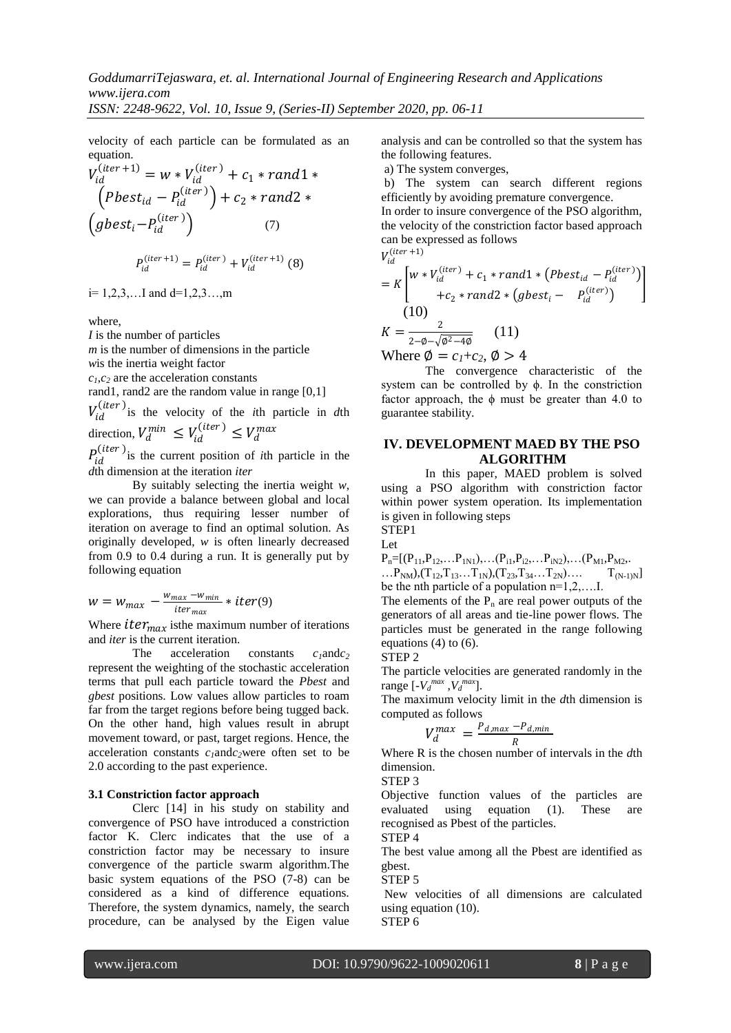velocity of each particle can be formulated as an equation.

$$
V_{id}^{(iter+1)} = w * V_{id}^{(iter)} + c_1 * rand1 *
$$
  
\n
$$
(Pbest_{id} - P_{id}^{(iter)}) + c_2 * rand2 *
$$
  
\n
$$
(gbest_i - P_{id}^{(iter)})
$$
  
\n
$$
P_{id}^{(iter+1)} = P_{id}^{(iter)} + V_{id}^{(iter+1)} (8)
$$

 $i= 1, 2, 3, \ldots$  and  $d=1, 2, 3, \ldots, m$ 

where,

*I* is the number of particles

*m* is the number of dimensions in the particle

*w*is the inertia weight factor

 $c_1, c_2$  are the acceleration constants

rand1, rand2 are the random value in range [0,1]

 $V_{id}^{(iter)}$  is the velocity of the *i*th particle in *d*th direction,  $V_d^{min} \leq V_{id}^{(iter)} \leq V_d^{max}$ 

 $P_{id}^{(iter)}$  is the current position of *i*th particle in the *d*th dimension at the iteration *iter*

By suitably selecting the inertia weight *w*, we can provide a balance between global and local explorations, thus requiring lesser number of iteration on average to find an optimal solution. As originally developed, *w* is often linearly decreased from 0.9 to 0.4 during a run. It is generally put by following equation

$$
w = w_{max} - \frac{w_{max} - w_{min}}{iter_{max}} * iter(9)
$$

Where  $iter_{max}$  is the maximum number of iterations and *iter* is the current iteration.

The acceleration constants *c1*and*c<sup>2</sup>* represent the weighting of the stochastic acceleration terms that pull each particle toward the *Pbest* and *gbest* positions. Low values allow particles to roam far from the target regions before being tugged back. On the other hand, high values result in abrupt movement toward, or past, target regions. Hence, the acceleration constants *c1*and*c2*were often set to be 2.0 according to the past experience.

## **3.1 Constriction factor approach**

Clerc [14] in his study on stability and convergence of PSO have introduced a constriction factor K. Clerc indicates that the use of a constriction factor may be necessary to insure convergence of the particle swarm algorithm.The basic system equations of the PSO (7-8) can be considered as a kind of difference equations. Therefore, the system dynamics, namely, the search procedure, can be analysed by the Eigen value

analysis and can be controlled so that the system has the following features.

a) The system converges,

b) The system can search different regions efficiently by avoiding premature convergence.

In order to insure convergence of the PSO algorithm, the velocity of the constriction factor based approach can be expressed as follows

$$
V_{id}^{(iter\,+1)}
$$

$$
= K \left[ w * V_{id}^{(iter)} + c_1 * rand1 * (Pbest_{id} - P_{id}^{(iter)}) + c_2 * rand2 * (gbest_i - P_{id}^{(iter)}) \right]
$$
  
(10)  

$$
K = \frac{2}{2 - \phi - \sqrt{\phi^2 - 4\phi}} \qquad (11)
$$

Where  $\phi = c_1 + c_2$ ,  $\phi > 4$ 

The convergence characteristic of the system can be controlled by ϕ. In the constriction factor approach, the  $\phi$  must be greater than 4.0 to guarantee stability.

## **IV. DEVELOPMENT MAED BY THE PSO ALGORITHM**

In this paper, MAED problem is solved using a PSO algorithm with constriction factor within power system operation. Its implementation is given in following steps

STEP1 Let

 $P_n=[(P_{11},P_{12},...P_{1N1}),...(P_{i1},P_{i2},...P_{iN2}),...(P_{M1},P_{M2},...]$  $\ldots P_{NM}$ ,  $(T_{12}, T_{13} \ldots T_{1N})$ ,  $(T_{23}, T_{34} \ldots T_{2N}) \ldots$   $T_{(N-1)N}$ be the nth particle of a population n=1,2,….I.

The elements of the  $P_n$  are real power outputs of the generators of all areas and tie-line power flows. The particles must be generated in the range following equations (4) to (6).

STEP 2

The particle velocities are generated randomly in the range  $\left[-V_d^{max}, V_d^{max}\right]$ .

The maximum velocity limit in the *d*th dimension is computed as follows

$$
V_d^{max} = \frac{P_{d,max} - P_{d,min}}{R}
$$

Where R is the chosen number of intervals in the  $d$ th dimension.

STEP 3

Objective function values of the particles are evaluated using equation (1). These are recognised as Pbest of the particles. STEP 4

The best value among all the Pbest are identified as gbest.

STEP 5

New velocities of all dimensions are calculated using equation (10). STEP 6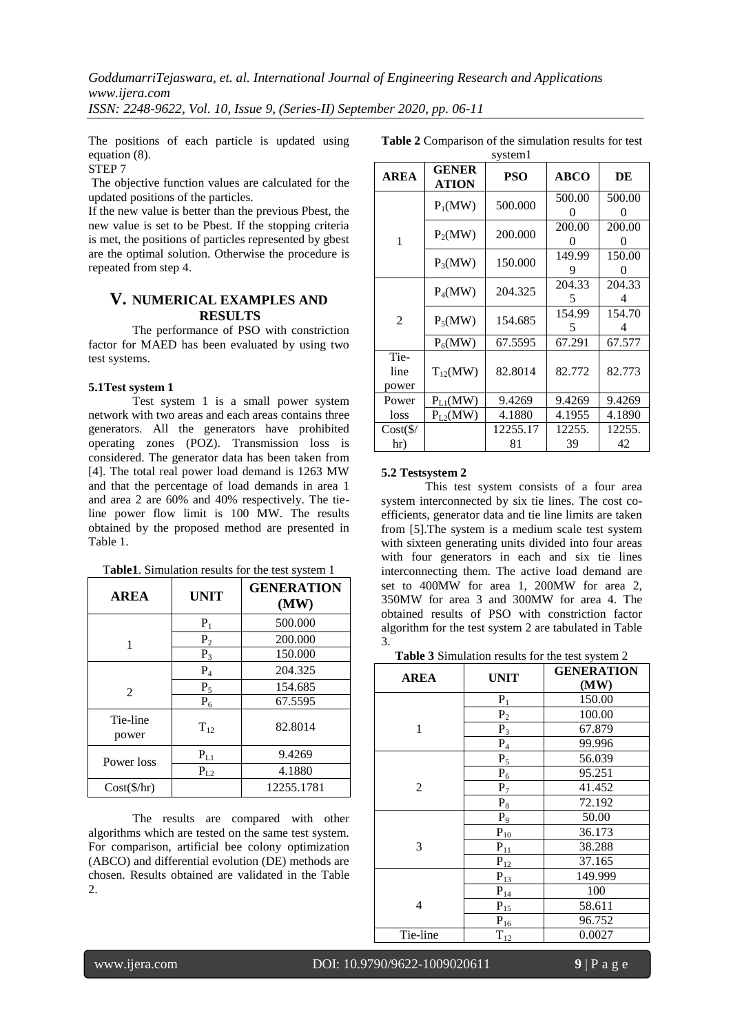The positions of each particle is updated using equation (8).

## STEP 7

The objective function values are calculated for the updated positions of the particles.

If the new value is better than the previous Pbest, the new value is set to be Pbest. If the stopping criteria is met, the positions of particles represented by gbest are the optimal solution. Otherwise the procedure is repeated from step 4.

## **V. NUMERICAL EXAMPLES AND RESULTS**

The performance of PSO with constriction factor for MAED has been evaluated by using two test systems.

#### **5.1Test system 1**

Test system 1 is a small power system network with two areas and each areas contains three generators. All the generators have prohibited operating zones (POZ). Transmission loss is considered. The generator data has been taken from [4]. The total real power load demand is 1263 MW and that the percentage of load demands in area 1 and area 2 are 60% and 40% respectively. The tieline power flow limit is 100 MW. The results obtained by the proposed method are presented in Table 1.

| Table1. Simulation results for the test system 1 |  |
|--------------------------------------------------|--|
|--------------------------------------------------|--|

| <b>AREA</b>         | <b>UNIT</b> | <b>GENERATION</b><br>(MW) |
|---------------------|-------------|---------------------------|
|                     | $P_1$       | 500.000                   |
| 1                   | $P_2$       | 200.000                   |
|                     | $P_3$       | 150.000                   |
|                     | $P_4$       | 204.325                   |
| $\mathcal{L}$       | $P_5$       | 154.685                   |
|                     | $P_6$       | 67.5595                   |
| Tie-line<br>power   | $T_{12}$    | 82.8014                   |
| Power loss          | $P_{L1}$    | 9.4269                    |
|                     | $P_{L2}$    | 4.1880                    |
| $Cost(\frac{f}{h})$ |             | 12255.1781                |

The results are compared with other algorithms which are tested on the same test system. For comparison, artificial bee colony optimization (ABCO) and differential evolution (DE) methods are chosen. Results obtained are validated in the Table 2.

**Table 2** Comparison of the simulation results for test

| system1               |                              |            |             |             |
|-----------------------|------------------------------|------------|-------------|-------------|
| <b>AREA</b>           | <b>GENER</b><br><b>ATION</b> | <b>PSO</b> | <b>ABCO</b> | DE          |
|                       | $P_1(MW)$                    | 500.000    | 500.00      | 500.00      |
| 1                     | $P_2(MW)$                    | 200.000    | 200.00<br>0 | 200.00<br>0 |
|                       | $P_3(MW)$                    | 150.000    | 149.99<br>9 | 150.00<br>0 |
|                       | $P_4(MW)$                    | 204.325    | 204.33<br>5 | 204.33<br>4 |
| $\overline{2}$        | $P_5(MW)$                    | 154.685    | 154.99<br>5 | 154.70<br>4 |
|                       | $P_6(MW)$                    | 67.5595    | 67.291      | 67.577      |
| Tie-<br>line<br>power | $T_{12}(MW)$                 | 82.8014    | 82.772      | 82.773      |
| Power                 | $P_{L1}(MW)$                 | 9.4269     | 9.4269      | 9.4269      |
| loss                  | $P_{L2}(MW)$                 | 4.1880     | 4.1955      | 4.1890      |
| $Cost(\frac{1}{2})$   |                              | 12255.17   | 12255.      | 12255.      |
| hr)                   |                              | 81         | 39          | 42          |

#### **5.2 Testsystem 2**

This test system consists of a four area system interconnected by six tie lines. The cost coefficients, generator data and tie line limits are taken from [5].The system is a medium scale test system with sixteen generating units divided into four areas with four generators in each and six tie lines interconnecting them. The active load demand are set to 400MW for area 1, 200MW for area 2, 350MW for area 3 and 300MW for area 4. The obtained results of PSO with constriction factor algorithm for the test system 2 are tabulated in Table 3.

**Table 3** Simulation results for the test system 2

| <b>AREA</b> | <b>UNIT</b>                            | <b>GENERATION</b> |  |  |
|-------------|----------------------------------------|-------------------|--|--|
|             |                                        | (MW)              |  |  |
|             | $P_1$                                  | 150.00            |  |  |
|             | $\mathbf{P}_2$                         | 100.00            |  |  |
| 1           | $P_3$                                  | 67.879            |  |  |
|             | $\mathbf{P}_4$                         | 99.996            |  |  |
|             | $P_5$                                  | 56.039            |  |  |
|             | $P_6$                                  | 95.251            |  |  |
| 2           | $P_7$                                  | 41.452            |  |  |
|             | $P_8$                                  | 72.192            |  |  |
|             | $P_9$                                  | 50.00             |  |  |
|             | $\mathbf{P}_{10}$                      | 36.173            |  |  |
| 3           | ${\bf P}_{\underline{1}\underline{1}}$ | 38.288            |  |  |
|             | $\mathbf{P}_{12}$                      | 37.165            |  |  |
|             | $P_{13}$                               | 149.999           |  |  |
|             | $\mathbf{P}_{14}$                      | 100               |  |  |
| 4           | $\mathbf{P}_{15}$                      | 58.611            |  |  |
|             | $\mathbf{P}_{16}$                      | 96.752            |  |  |
| Tie-line    | $T_{12}$                               | 0.0027            |  |  |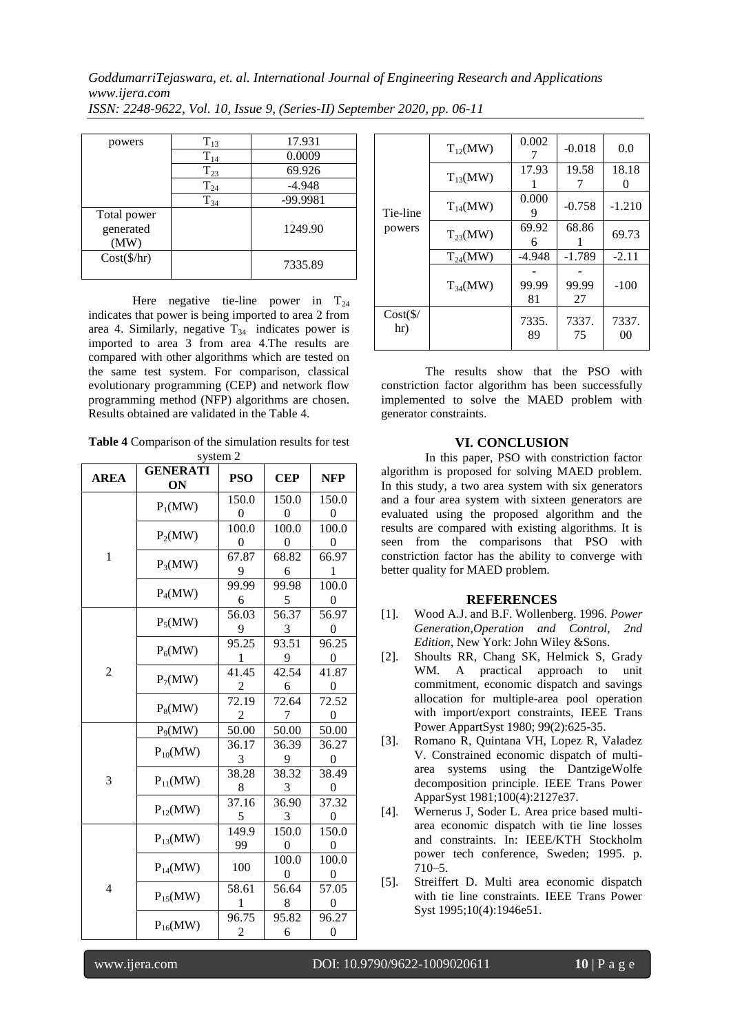| powers                           | $T_{13}$ | 17.931   |
|----------------------------------|----------|----------|
|                                  | $T_{14}$ | 0.0009   |
|                                  | $T_{23}$ | 69.926   |
|                                  | $T_{24}$ | $-4.948$ |
|                                  | $T_{34}$ | -99.9981 |
| Total power<br>generated<br>(MW) |          | 1249.90  |
| $Cost(\frac{6}{hr})$             |          | 7335.89  |

Here negative tie-line power in  $T_{24}$ indicates that power is being imported to area 2 from area 4. Similarly, negative  $T_{34}$  indicates power is imported to area 3 from area 4.The results are compared with other algorithms which are tested on the same test system. For comparison, classical evolutionary programming (CEP) and network flow programming method (NFP) algorithms are chosen. Results obtained are validated in the Table 4.

**Table 4** Comparison of the simulation results for test system 2

| <b>AREA</b>    | <b>GENERATI</b><br>ON | <b>PSO</b>        | <b>CEP</b>        | <b>NFP</b>              |
|----------------|-----------------------|-------------------|-------------------|-------------------------|
|                | $P_1(MW)$             | 150.0             | 150.0             | 150.0                   |
|                |                       | $^{(1)}$<br>100.0 | $\Omega$<br>100.0 | $^{(1)}$<br>100.0       |
|                | $P_2(MW)$             | 0                 | $\theta$          | $\theta$                |
| $\mathbf{1}$   | $P_3(MW)$             | 67.87<br>9        | 68.82<br>6        | 66.97<br>1              |
|                | $P_4(MW)$             | 99.99<br>6        | 99.98<br>5        | 100.0<br>0              |
|                | $P_5(MW)$             | 56.03<br>9        | 56.37<br>3        | 56.97<br>$^{(1)}$       |
|                | $P_6(MW)$             | 95.25<br>1        | 93.51<br>9        | 96.25<br>$\theta$       |
| $\overline{2}$ | $P_7(MW)$             | 41.45             | 42.54<br>6        | 41.87<br>$\Omega$       |
|                | $P_8(MW)$             | 72.19<br>2        | 72.64<br>7        | 72.52<br>$\theta$       |
|                | P <sub>9</sub> (MW)   | 50.00             | 50.00             | 50.00                   |
| 3              | $P_{10}(MW)$          | 36.17<br>3        | 36.39<br>9        | 36.27<br>$\overline{0}$ |
|                | $P_{11}(MW)$          | 38.28<br>8        | 38.32<br>3        | 38.49<br>$\theta$       |
|                | $P_{12}(MW)$          | 37.16<br>5        | 36.90<br>3        | 37.32<br>$\Omega$       |
| 4              | $P_{13}(MW)$          | 149.9<br>99       | 150.0<br>0        | 150.0<br>$\Omega$       |
|                | $P_{14}(MW)$          | 100               | 100.0<br>0        | 100.0<br>0              |
|                | $P_{15}(MW)$          | 58.61<br>1        | 56.64<br>8        | 57.05<br>$\theta$       |
|                | $P_{16}(MW)$          | 96.75<br>2        | 95.82<br>6        | 96.27<br>$\overline{0}$ |

| Tie-line<br>powers         | $T_{12}(MW)$ | 0.002       | $-0.018$    | 0.0         |
|----------------------------|--------------|-------------|-------------|-------------|
|                            | $T_{13}(MW)$ | 17.93       | 19.58       | 18.18       |
|                            | $T_{14}(MW)$ | 0.000       | $-0.758$    | $-1.210$    |
|                            | $T_{23}(MW)$ | 69.92<br>6  | 68.86       | 69.73       |
|                            | $T_{24}(MW)$ | $-4.948$    | $-1.789$    | $-2.11$     |
|                            | $T_{34}(MW)$ | 99.99<br>81 | 99.99<br>27 | $-100$      |
| $Cost(\frac{1}{2})$<br>hr) |              | 7335.<br>89 | 7337.<br>75 | 7337.<br>00 |

The results show that the PSO with constriction factor algorithm has been successfully implemented to solve the MAED problem with generator constraints.

## **VI. CONCLUSION**

In this paper, PSO with constriction factor algorithm is proposed for solving MAED problem. In this study, a two area system with six generators and a four area system with sixteen generators are evaluated using the proposed algorithm and the results are compared with existing algorithms. It is seen from the comparisons that PSO with constriction factor has the ability to converge with better quality for MAED problem.

## **REFERENCES**

- [1]. Wood A.J. and B.F. Wollenberg. 1996. *Power Generation,Operation and Control, 2nd Edition*, New York: John Wiley &Sons.
- [2]. Shoults RR, Chang SK, Helmick S, Grady WM. A practical approach to unit commitment, economic dispatch and savings allocation for multiple-area pool operation with import/export constraints, IEEE Trans Power AppartSyst 1980; 99(2):625-35.
- [3]. Romano R, Quintana VH, Lopez R, Valadez V. Constrained economic dispatch of multiarea systems using the DantzigeWolfe decomposition principle. IEEE Trans Power ApparSyst 1981;100(4):2127e37.
- [4]. Wernerus J, Soder L. Area price based multiarea economic dispatch with tie line losses and constraints. In: IEEE/KTH Stockholm power tech conference, Sweden; 1995. p. 710–5.
- [5]. Streiffert D. Multi area economic dispatch with tie line constraints. IEEE Trans Power Syst 1995;10(4):1946e51.